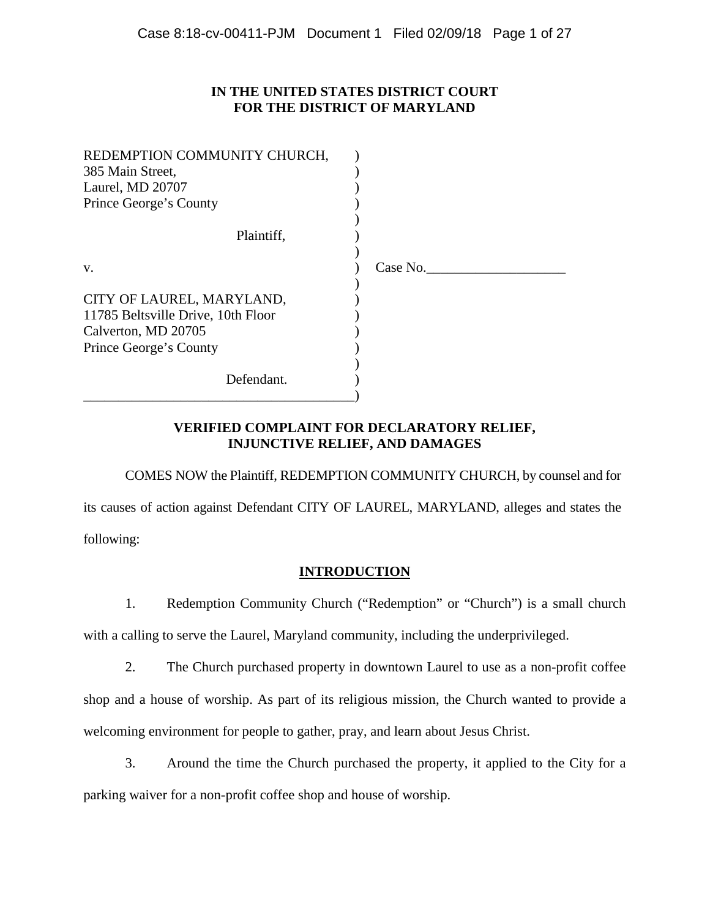## **IN THE UNITED STATES DISTRICT COURT FOR THE DISTRICT OF MARYLAND**

| REDEMPTION COMMUNITY CHURCH,<br>385 Main Street,<br>Laurel, MD 20707<br>Prince George's County |          |
|------------------------------------------------------------------------------------------------|----------|
|                                                                                                |          |
| Plaintiff,                                                                                     |          |
|                                                                                                |          |
| V.                                                                                             | Case No. |
|                                                                                                |          |
| CITY OF LAUREL, MARYLAND,                                                                      |          |
| 11785 Beltsville Drive, 10th Floor                                                             |          |
| Calverton, MD 20705                                                                            |          |
| Prince George's County                                                                         |          |
|                                                                                                |          |
| Defendant.                                                                                     |          |
|                                                                                                |          |

# **VERIFIED COMPLAINT FOR DECLARATORY RELIEF, INJUNCTIVE RELIEF, AND DAMAGES**

COMES NOW the Plaintiff, REDEMPTION COMMUNITY CHURCH, by counsel and for its causes of action against Defendant CITY OF LAUREL, MARYLAND, alleges and states the following:

## **INTRODUCTION**

1. Redemption Community Church ("Redemption" or "Church") is a small church with a calling to serve the Laurel, Maryland community, including the underprivileged.

2. The Church purchased property in downtown Laurel to use as a non-profit coffee shop and a house of worship. As part of its religious mission, the Church wanted to provide a welcoming environment for people to gather, pray, and learn about Jesus Christ.

3. Around the time the Church purchased the property, it applied to the City for a parking waiver for a non-profit coffee shop and house of worship.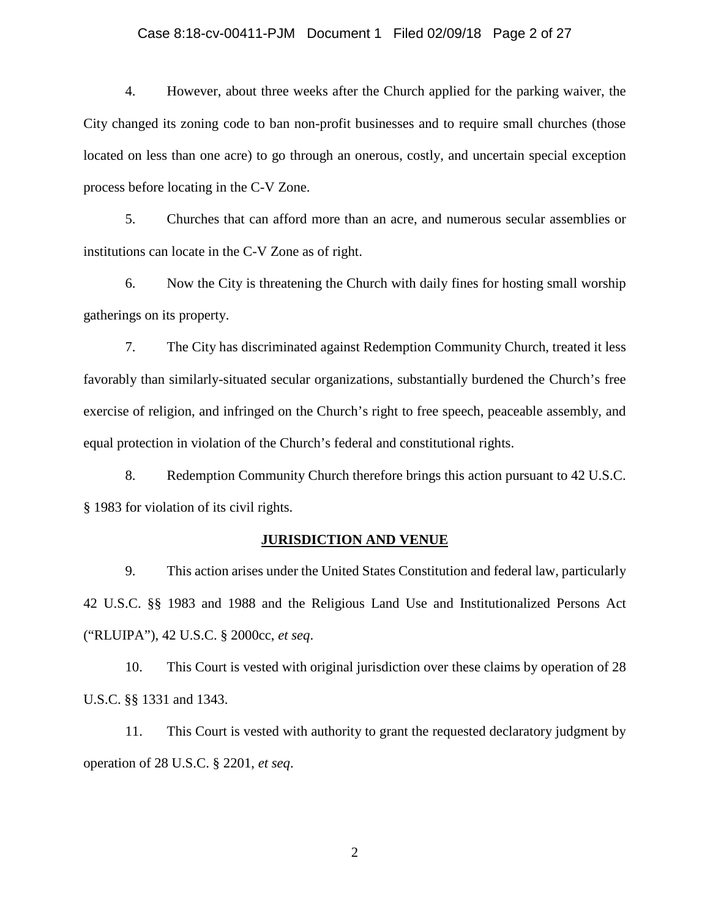## Case 8:18-cv-00411-PJM Document 1 Filed 02/09/18 Page 2 of 27

4. However, about three weeks after the Church applied for the parking waiver, the City changed its zoning code to ban non-profit businesses and to require small churches (those located on less than one acre) to go through an onerous, costly, and uncertain special exception process before locating in the C-V Zone.

5. Churches that can afford more than an acre, and numerous secular assemblies or institutions can locate in the C-V Zone as of right.

6. Now the City is threatening the Church with daily fines for hosting small worship gatherings on its property.

7. The City has discriminated against Redemption Community Church, treated it less favorably than similarly-situated secular organizations, substantially burdened the Church's free exercise of religion, and infringed on the Church's right to free speech, peaceable assembly, and equal protection in violation of the Church's federal and constitutional rights.

8. Redemption Community Church therefore brings this action pursuant to 42 U.S.C. § 1983 for violation of its civil rights.

#### **JURISDICTION AND VENUE**

9. This action arises under the United States Constitution and federal law, particularly 42 U.S.C. §§ 1983 and 1988 and the Religious Land Use and Institutionalized Persons Act ("RLUIPA"), 42 U.S.C. § 2000cc, *et seq*.

10. This Court is vested with original jurisdiction over these claims by operation of 28 U.S.C. §§ 1331 and 1343.

11. This Court is vested with authority to grant the requested declaratory judgment by operation of 28 U.S.C. § 2201, *et seq*.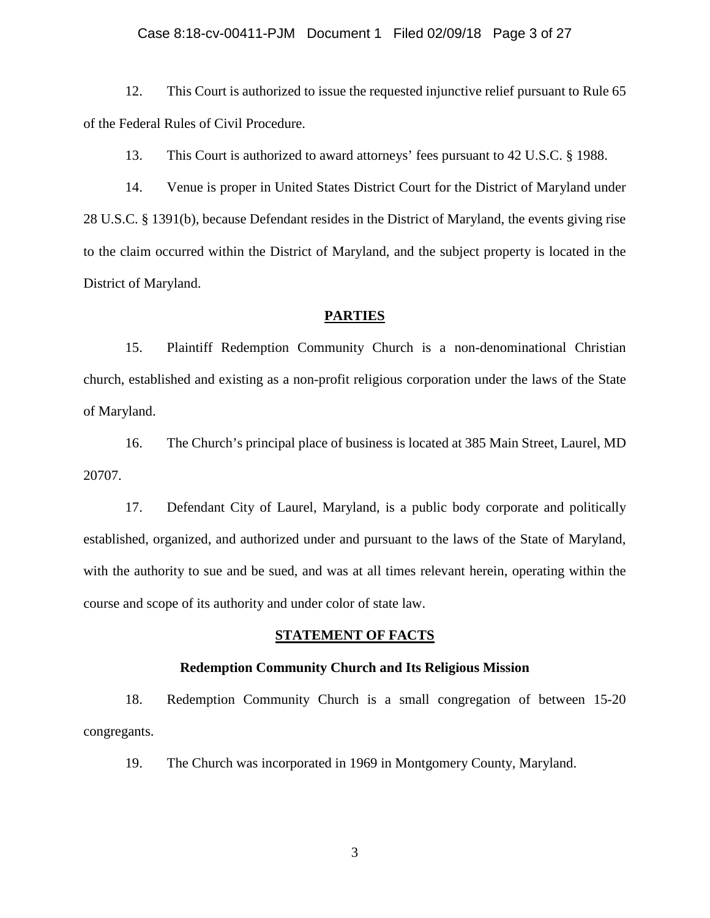#### Case 8:18-cv-00411-PJM Document 1 Filed 02/09/18 Page 3 of 27

12. This Court is authorized to issue the requested injunctive relief pursuant to Rule 65 of the Federal Rules of Civil Procedure.

13. This Court is authorized to award attorneys' fees pursuant to 42 U.S.C. § 1988.

14. Venue is proper in United States District Court for the District of Maryland under 28 U.S.C. § 1391(b), because Defendant resides in the District of Maryland, the events giving rise to the claim occurred within the District of Maryland, and the subject property is located in the District of Maryland.

## **PARTIES**

15. Plaintiff Redemption Community Church is a non-denominational Christian church, established and existing as a non-profit religious corporation under the laws of the State of Maryland.

16. The Church's principal place of business is located at 385 Main Street, Laurel, MD 20707.

17. Defendant City of Laurel, Maryland, is a public body corporate and politically established, organized, and authorized under and pursuant to the laws of the State of Maryland, with the authority to sue and be sued, and was at all times relevant herein, operating within the course and scope of its authority and under color of state law.

## **STATEMENT OF FACTS**

#### **Redemption Community Church and Its Religious Mission**

18. Redemption Community Church is a small congregation of between 15-20 congregants.

19. The Church was incorporated in 1969 in Montgomery County, Maryland.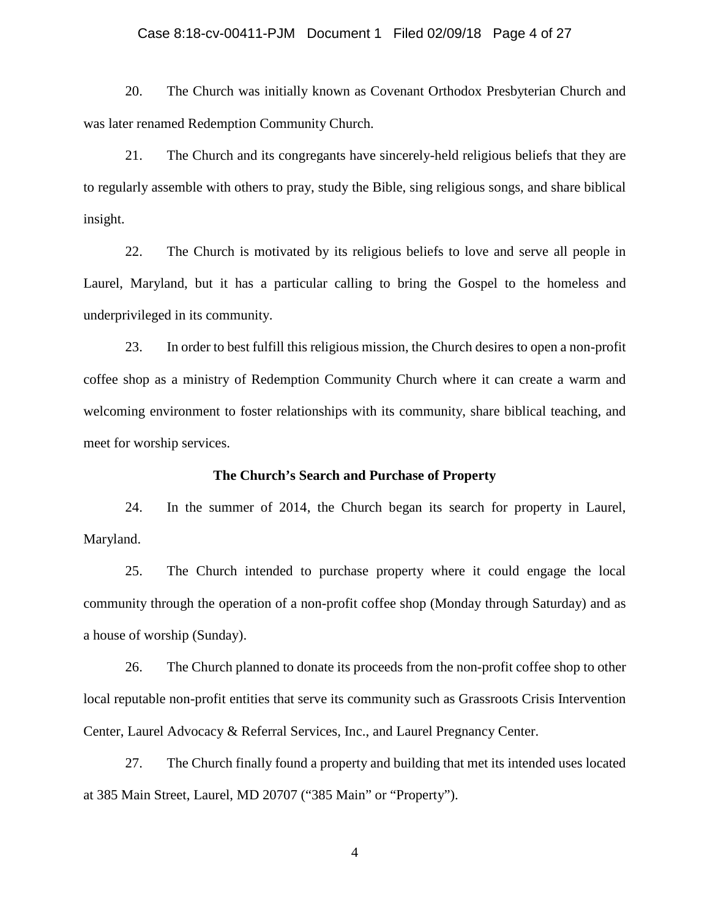## Case 8:18-cv-00411-PJM Document 1 Filed 02/09/18 Page 4 of 27

20. The Church was initially known as Covenant Orthodox Presbyterian Church and was later renamed Redemption Community Church.

21. The Church and its congregants have sincerely-held religious beliefs that they are to regularly assemble with others to pray, study the Bible, sing religious songs, and share biblical insight.

22. The Church is motivated by its religious beliefs to love and serve all people in Laurel, Maryland, but it has a particular calling to bring the Gospel to the homeless and underprivileged in its community.

23. In order to best fulfill this religious mission, the Church desires to open a non-profit coffee shop as a ministry of Redemption Community Church where it can create a warm and welcoming environment to foster relationships with its community, share biblical teaching, and meet for worship services.

## **The Church's Search and Purchase of Property**

24. In the summer of 2014, the Church began its search for property in Laurel, Maryland.

25. The Church intended to purchase property where it could engage the local community through the operation of a non-profit coffee shop (Monday through Saturday) and as a house of worship (Sunday).

26. The Church planned to donate its proceeds from the non-profit coffee shop to other local reputable non-profit entities that serve its community such as Grassroots Crisis Intervention Center, Laurel Advocacy & Referral Services, Inc., and Laurel Pregnancy Center.

27. The Church finally found a property and building that met its intended uses located at 385 Main Street, Laurel, MD 20707 ("385 Main" or "Property").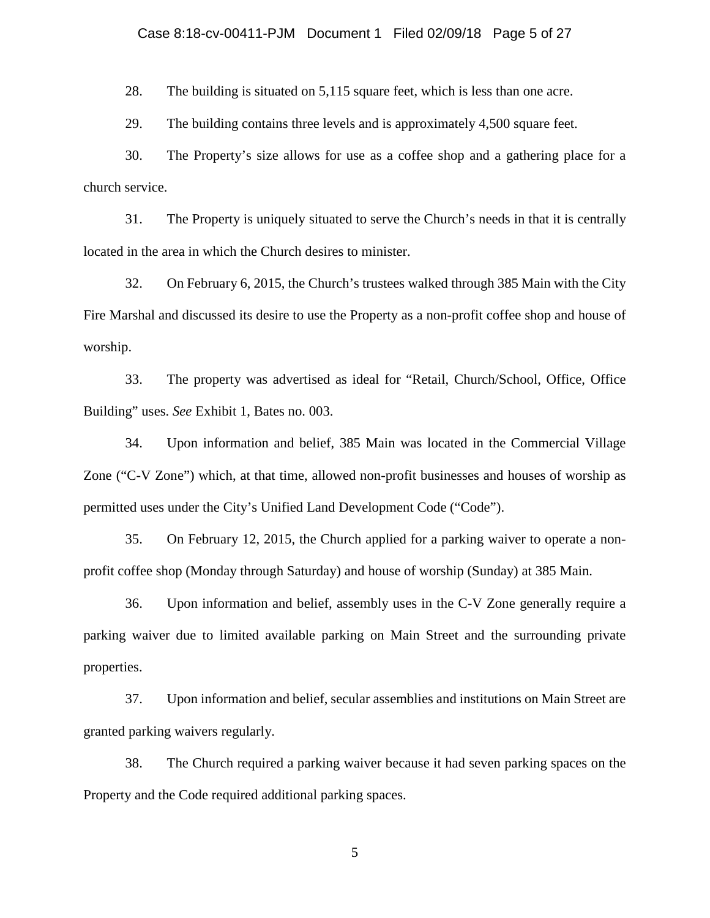## Case 8:18-cv-00411-PJM Document 1 Filed 02/09/18 Page 5 of 27

28. The building is situated on 5,115 square feet, which is less than one acre.

29. The building contains three levels and is approximately 4,500 square feet.

30. The Property's size allows for use as a coffee shop and a gathering place for a church service.

31. The Property is uniquely situated to serve the Church's needs in that it is centrally located in the area in which the Church desires to minister.

32. On February 6, 2015, the Church's trustees walked through 385 Main with the City Fire Marshal and discussed its desire to use the Property as a non-profit coffee shop and house of worship.

33. The property was advertised as ideal for "Retail, Church/School, Office, Office Building" uses. *See* Exhibit 1, Bates no. 003.

34. Upon information and belief, 385 Main was located in the Commercial Village Zone ("C-V Zone") which, at that time, allowed non-profit businesses and houses of worship as permitted uses under the City's Unified Land Development Code ("Code").

35. On February 12, 2015, the Church applied for a parking waiver to operate a nonprofit coffee shop (Monday through Saturday) and house of worship (Sunday) at 385 Main.

36. Upon information and belief, assembly uses in the C-V Zone generally require a parking waiver due to limited available parking on Main Street and the surrounding private properties.

37. Upon information and belief, secular assemblies and institutions on Main Street are granted parking waivers regularly.

38. The Church required a parking waiver because it had seven parking spaces on the Property and the Code required additional parking spaces.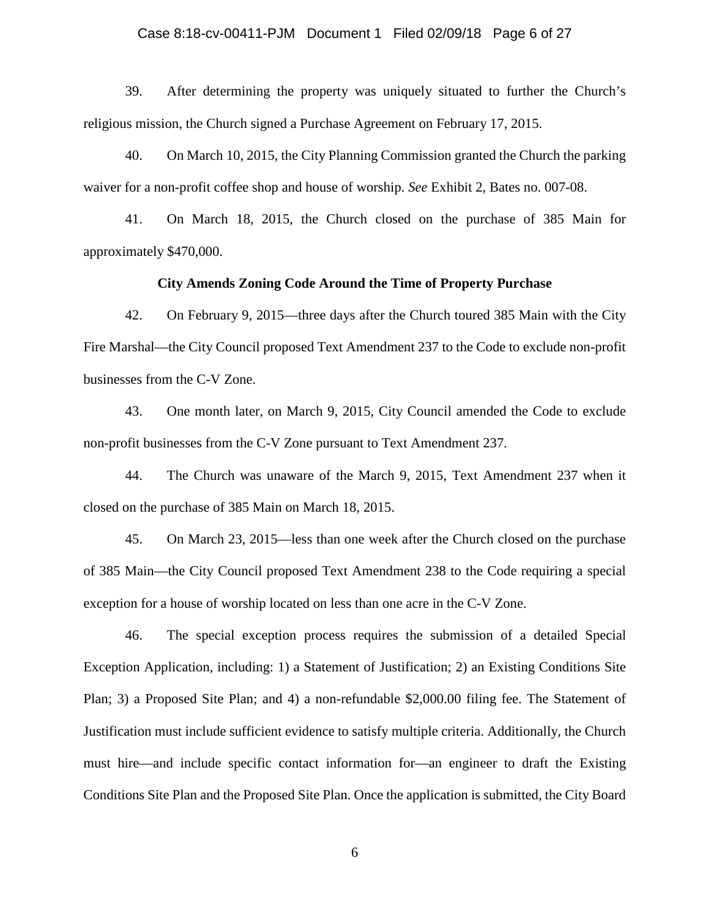## Case 8:18-cv-00411-PJM Document 1 Filed 02/09/18 Page 6 of 27

39. After determining the property was uniquely situated to further the Church's religious mission, the Church signed a Purchase Agreement on February 17, 2015.

40. On March 10, 2015, the City Planning Commission granted the Church the parking waiver for a non-profit coffee shop and house of worship. *See* Exhibit 2, Bates no. 007-08.

41. On March 18, 2015, the Church closed on the purchase of 385 Main for approximately \$470,000.

## **City Amends Zoning Code Around the Time of Property Purchase**

42. On February 9, 2015—three days after the Church toured 385 Main with the City Fire Marshal—the City Council proposed Text Amendment 237 to the Code to exclude non-profit businesses from the C-V Zone.

43. One month later, on March 9, 2015, City Council amended the Code to exclude non-profit businesses from the C-V Zone pursuant to Text Amendment 237.

44. The Church was unaware of the March 9, 2015, Text Amendment 237 when it closed on the purchase of 385 Main on March 18, 2015.

45. On March 23, 2015—less than one week after the Church closed on the purchase of 385 Main—the City Council proposed Text Amendment 238 to the Code requiring a special exception for a house of worship located on less than one acre in the C-V Zone.

46. The special exception process requires the submission of a detailed Special Exception Application, including: 1) a Statement of Justification; 2) an Existing Conditions Site Plan; 3) a Proposed Site Plan; and 4) a non-refundable \$2,000.00 filing fee. The Statement of Justification must include sufficient evidence to satisfy multiple criteria. Additionally, the Church must hire—and include specific contact information for—an engineer to draft the Existing Conditions Site Plan and the Proposed Site Plan. Once the application is submitted, the City Board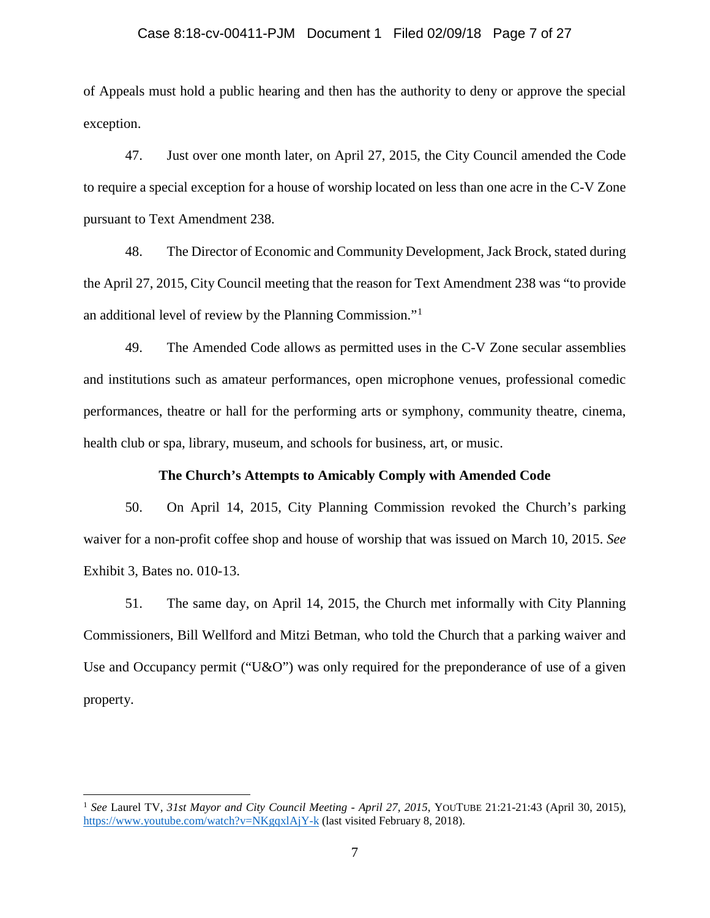## Case 8:18-cv-00411-PJM Document 1 Filed 02/09/18 Page 7 of 27

of Appeals must hold a public hearing and then has the authority to deny or approve the special exception.

47. Just over one month later, on April 27, 2015, the City Council amended the Code to require a special exception for a house of worship located on less than one acre in the C-V Zone pursuant to Text Amendment 238.

48. The Director of Economic and Community Development, Jack Brock, stated during the April 27, 2015, City Council meeting that the reason for Text Amendment 238 was "to provide an additional level of review by the Planning Commission."<sup>1</sup>

49. The Amended Code allows as permitted uses in the C-V Zone secular assemblies and institutions such as amateur performances, open microphone venues, professional comedic performances, theatre or hall for the performing arts or symphony, community theatre, cinema, health club or spa, library, museum, and schools for business, art, or music.

## **The Church's Attempts to Amicably Comply with Amended Code**

50. On April 14, 2015, City Planning Commission revoked the Church's parking waiver for a non-profit coffee shop and house of worship that was issued on March 10, 2015. *See* Exhibit 3, Bates no. 010-13.

51. The same day, on April 14, 2015, the Church met informally with City Planning Commissioners, Bill Wellford and Mitzi Betman, who told the Church that a parking waiver and Use and Occupancy permit ("U&O") was only required for the preponderance of use of a given property.

l

<sup>1</sup> *See* Laurel TV, *31st Mayor and City Council Meeting - April 27, 2015*, YOUTUBE 21:21-21:43 (April 30, 2015), https://www.youtube.com/watch?v=NKgqxlAjY-k (last visited February 8, 2018).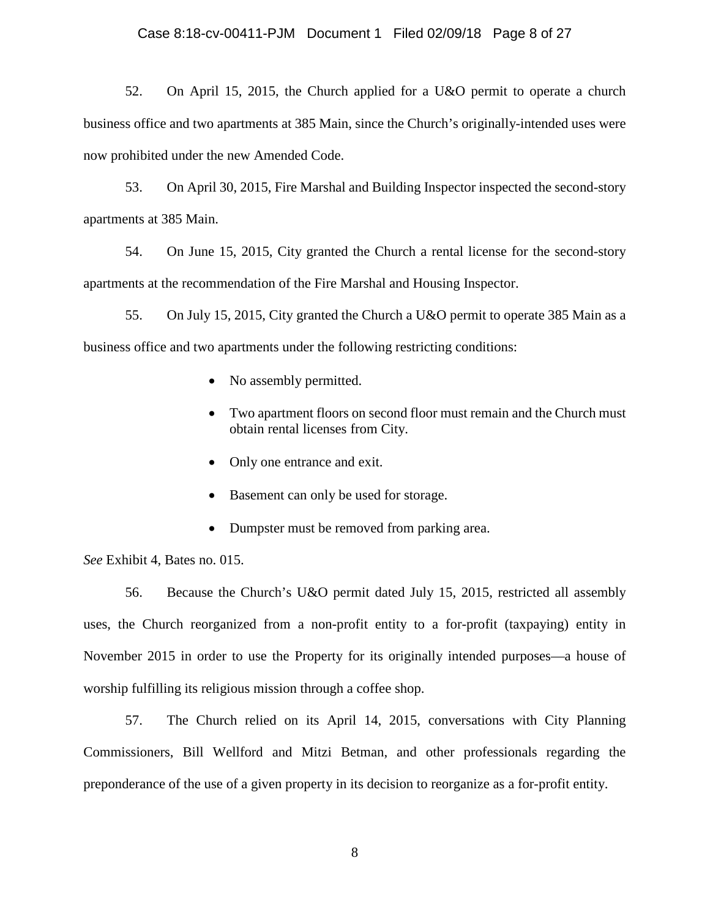52. On April 15, 2015, the Church applied for a U&O permit to operate a church business office and two apartments at 385 Main, since the Church's originally-intended uses were now prohibited under the new Amended Code.

53. On April 30, 2015, Fire Marshal and Building Inspector inspected the second-story apartments at 385 Main.

54. On June 15, 2015, City granted the Church a rental license for the second-story apartments at the recommendation of the Fire Marshal and Housing Inspector.

55. On July 15, 2015, City granted the Church a U&O permit to operate 385 Main as a business office and two apartments under the following restricting conditions:

- No assembly permitted.
- Two apartment floors on second floor must remain and the Church must obtain rental licenses from City.
- Only one entrance and exit.
- Basement can only be used for storage.
- Dumpster must be removed from parking area.

*See* Exhibit 4, Bates no. 015.

56. Because the Church's U&O permit dated July 15, 2015, restricted all assembly uses, the Church reorganized from a non-profit entity to a for-profit (taxpaying) entity in November 2015 in order to use the Property for its originally intended purposes—a house of worship fulfilling its religious mission through a coffee shop.

57. The Church relied on its April 14, 2015, conversations with City Planning Commissioners, Bill Wellford and Mitzi Betman, and other professionals regarding the preponderance of the use of a given property in its decision to reorganize as a for-profit entity.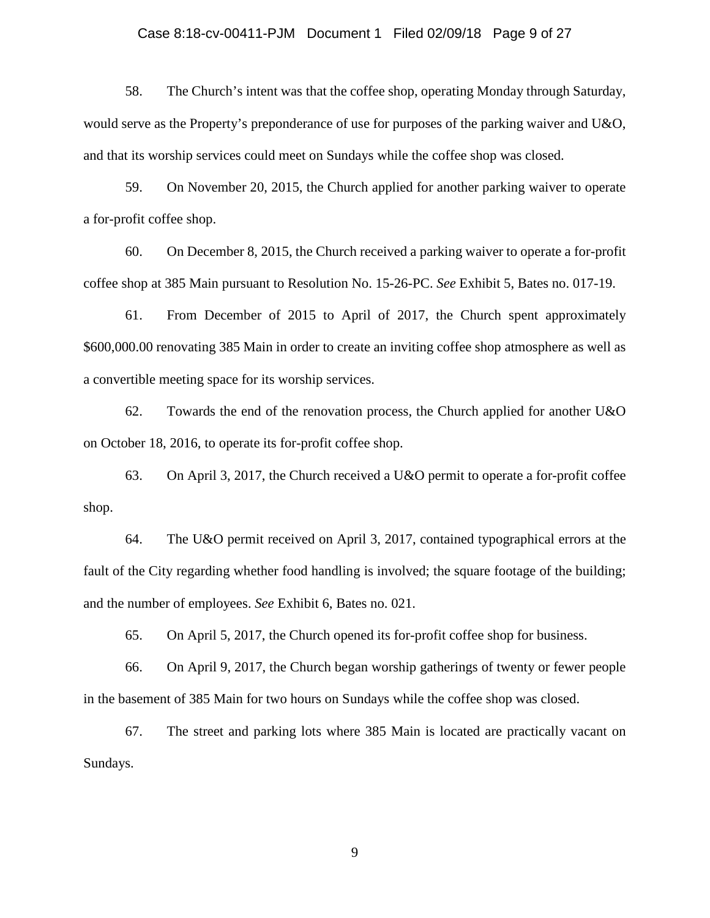## Case 8:18-cv-00411-PJM Document 1 Filed 02/09/18 Page 9 of 27

58. The Church's intent was that the coffee shop, operating Monday through Saturday, would serve as the Property's preponderance of use for purposes of the parking waiver and U&O, and that its worship services could meet on Sundays while the coffee shop was closed.

59. On November 20, 2015, the Church applied for another parking waiver to operate a for-profit coffee shop.

60. On December 8, 2015, the Church received a parking waiver to operate a for-profit coffee shop at 385 Main pursuant to Resolution No. 15-26-PC. *See* Exhibit 5, Bates no. 017-19.

61. From December of 2015 to April of 2017, the Church spent approximately \$600,000.00 renovating 385 Main in order to create an inviting coffee shop atmosphere as well as a convertible meeting space for its worship services.

62. Towards the end of the renovation process, the Church applied for another U&O on October 18, 2016, to operate its for-profit coffee shop.

63. On April 3, 2017, the Church received a U&O permit to operate a for-profit coffee shop.

64. The U&O permit received on April 3, 2017, contained typographical errors at the fault of the City regarding whether food handling is involved; the square footage of the building; and the number of employees. *See* Exhibit 6, Bates no. 021.

65. On April 5, 2017, the Church opened its for-profit coffee shop for business.

66. On April 9, 2017, the Church began worship gatherings of twenty or fewer people in the basement of 385 Main for two hours on Sundays while the coffee shop was closed.

67. The street and parking lots where 385 Main is located are practically vacant on Sundays.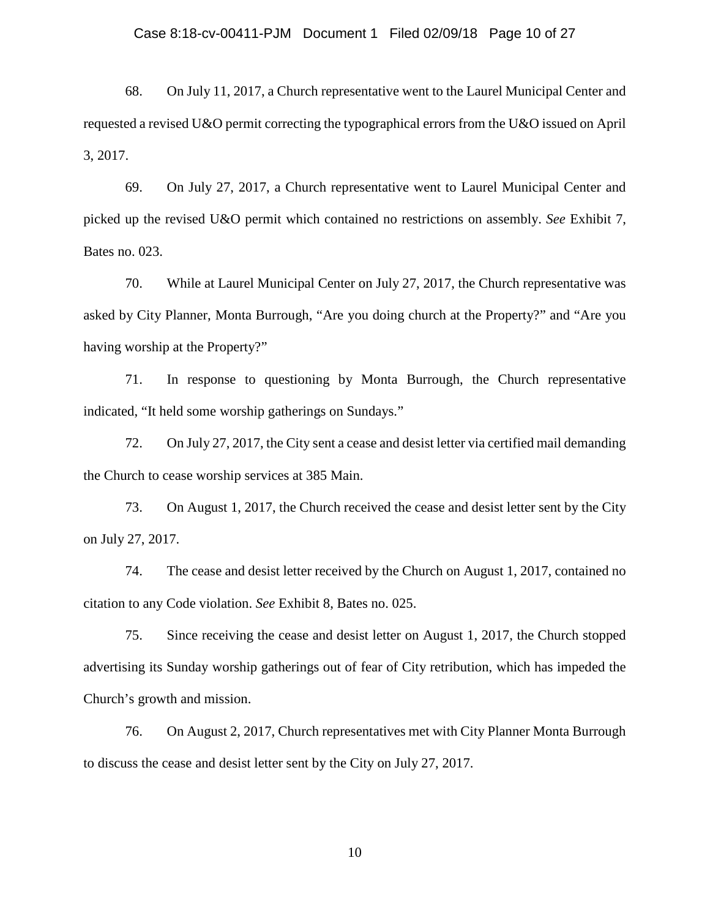#### Case 8:18-cv-00411-PJM Document 1 Filed 02/09/18 Page 10 of 27

68. On July 11, 2017, a Church representative went to the Laurel Municipal Center and requested a revised U&O permit correcting the typographical errors from the U&O issued on April 3, 2017.

69. On July 27, 2017, a Church representative went to Laurel Municipal Center and picked up the revised U&O permit which contained no restrictions on assembly. *See* Exhibit 7, Bates no. 023.

70. While at Laurel Municipal Center on July 27, 2017, the Church representative was asked by City Planner, Monta Burrough, "Are you doing church at the Property?" and "Are you having worship at the Property?"

71. In response to questioning by Monta Burrough, the Church representative indicated, "It held some worship gatherings on Sundays."

72. On July 27, 2017, the City sent a cease and desist letter via certified mail demanding the Church to cease worship services at 385 Main.

73. On August 1, 2017, the Church received the cease and desist letter sent by the City on July 27, 2017.

74. The cease and desist letter received by the Church on August 1, 2017, contained no citation to any Code violation. *See* Exhibit 8, Bates no. 025.

75. Since receiving the cease and desist letter on August 1, 2017, the Church stopped advertising its Sunday worship gatherings out of fear of City retribution, which has impeded the Church's growth and mission.

76. On August 2, 2017, Church representatives met with City Planner Monta Burrough to discuss the cease and desist letter sent by the City on July 27, 2017.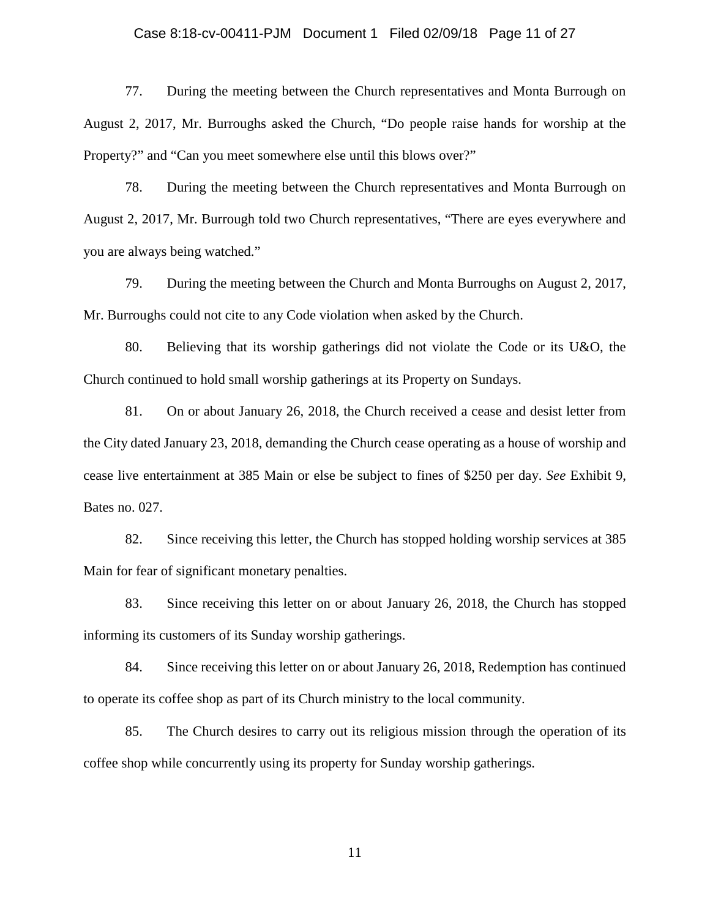### Case 8:18-cv-00411-PJM Document 1 Filed 02/09/18 Page 11 of 27

77. During the meeting between the Church representatives and Monta Burrough on August 2, 2017, Mr. Burroughs asked the Church, "Do people raise hands for worship at the Property?" and "Can you meet somewhere else until this blows over?"

78. During the meeting between the Church representatives and Monta Burrough on August 2, 2017, Mr. Burrough told two Church representatives, "There are eyes everywhere and you are always being watched."

79. During the meeting between the Church and Monta Burroughs on August 2, 2017, Mr. Burroughs could not cite to any Code violation when asked by the Church.

80. Believing that its worship gatherings did not violate the Code or its U&O, the Church continued to hold small worship gatherings at its Property on Sundays.

81. On or about January 26, 2018, the Church received a cease and desist letter from the City dated January 23, 2018, demanding the Church cease operating as a house of worship and cease live entertainment at 385 Main or else be subject to fines of \$250 per day. *See* Exhibit 9, Bates no. 027.

82. Since receiving this letter, the Church has stopped holding worship services at 385 Main for fear of significant monetary penalties.

83. Since receiving this letter on or about January 26, 2018, the Church has stopped informing its customers of its Sunday worship gatherings.

84. Since receiving this letter on or about January 26, 2018, Redemption has continued to operate its coffee shop as part of its Church ministry to the local community.

85. The Church desires to carry out its religious mission through the operation of its coffee shop while concurrently using its property for Sunday worship gatherings.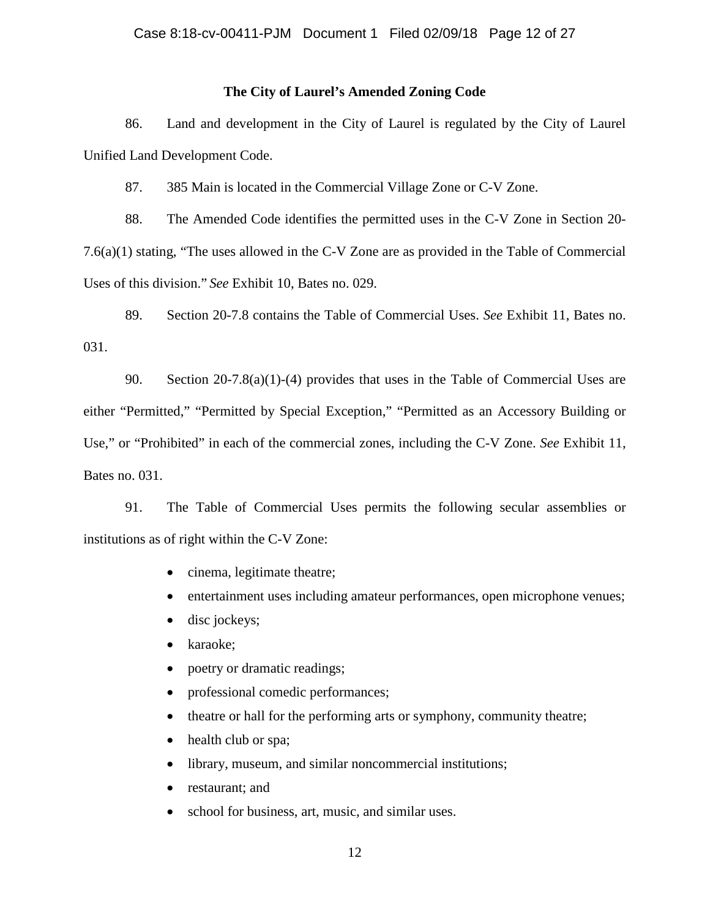## **The City of Laurel's Amended Zoning Code**

86. Land and development in the City of Laurel is regulated by the City of Laurel Unified Land Development Code.

87. 385 Main is located in the Commercial Village Zone or C-V Zone.

88. The Amended Code identifies the permitted uses in the C-V Zone in Section 20- 7.6(a)(1) stating, "The uses allowed in the C-V Zone are as provided in the Table of Commercial Uses of this division." *See* Exhibit 10, Bates no. 029.

89. Section 20-7.8 contains the Table of Commercial Uses. *See* Exhibit 11, Bates no. 031.

90. Section 20-7.8(a)(1)-(4) provides that uses in the Table of Commercial Uses are either "Permitted," "Permitted by Special Exception," "Permitted as an Accessory Building or Use," or "Prohibited" in each of the commercial zones, including the C-V Zone. *See* Exhibit 11, Bates no. 031.

91. The Table of Commercial Uses permits the following secular assemblies or institutions as of right within the C-V Zone:

- cinema, legitimate theatre;
- entertainment uses including amateur performances, open microphone venues;
- disc jockeys;
- karaoke;
- poetry or dramatic readings;
- professional comedic performances;
- theatre or hall for the performing arts or symphony, community theatre;
- health club or spa;
- library, museum, and similar noncommercial institutions;
- restaurant; and
- school for business, art, music, and similar uses.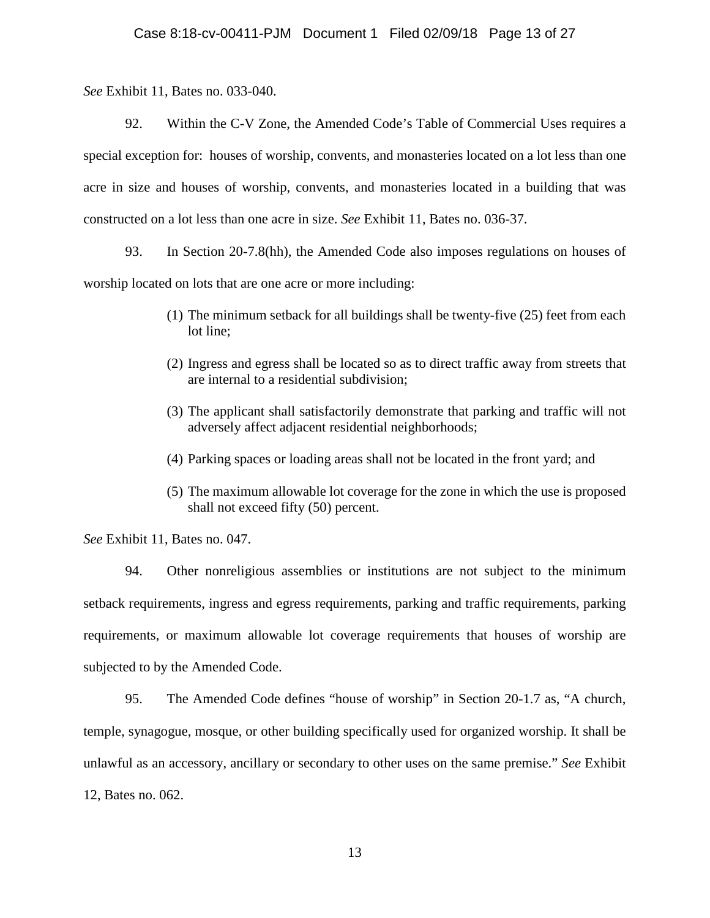*See* Exhibit 11, Bates no. 033-040.

92. Within the C-V Zone, the Amended Code's Table of Commercial Uses requires a special exception for: houses of worship, convents, and monasteries located on a lot less than one acre in size and houses of worship, convents, and monasteries located in a building that was constructed on a lot less than one acre in size. *See* Exhibit 11, Bates no. 036-37.

93. In Section 20-7.8(hh), the Amended Code also imposes regulations on houses of worship located on lots that are one acre or more including:

- (1) The minimum setback for all buildings shall be twenty-five (25) feet from each lot line;
- (2) Ingress and egress shall be located so as to direct traffic away from streets that are internal to a residential subdivision;
- (3) The applicant shall satisfactorily demonstrate that parking and traffic will not adversely affect adjacent residential neighborhoods;
- (4) Parking spaces or loading areas shall not be located in the front yard; and
- (5) The maximum allowable lot coverage for the zone in which the use is proposed shall not exceed fifty (50) percent.

*See* Exhibit 11, Bates no. 047.

94. Other nonreligious assemblies or institutions are not subject to the minimum setback requirements, ingress and egress requirements, parking and traffic requirements, parking requirements, or maximum allowable lot coverage requirements that houses of worship are subjected to by the Amended Code.

95. The Amended Code defines "house of worship" in Section 20-1.7 as, "A church, temple, synagogue, mosque, or other building specifically used for organized worship. It shall be unlawful as an accessory, ancillary or secondary to other uses on the same premise." *See* Exhibit 12, Bates no. 062.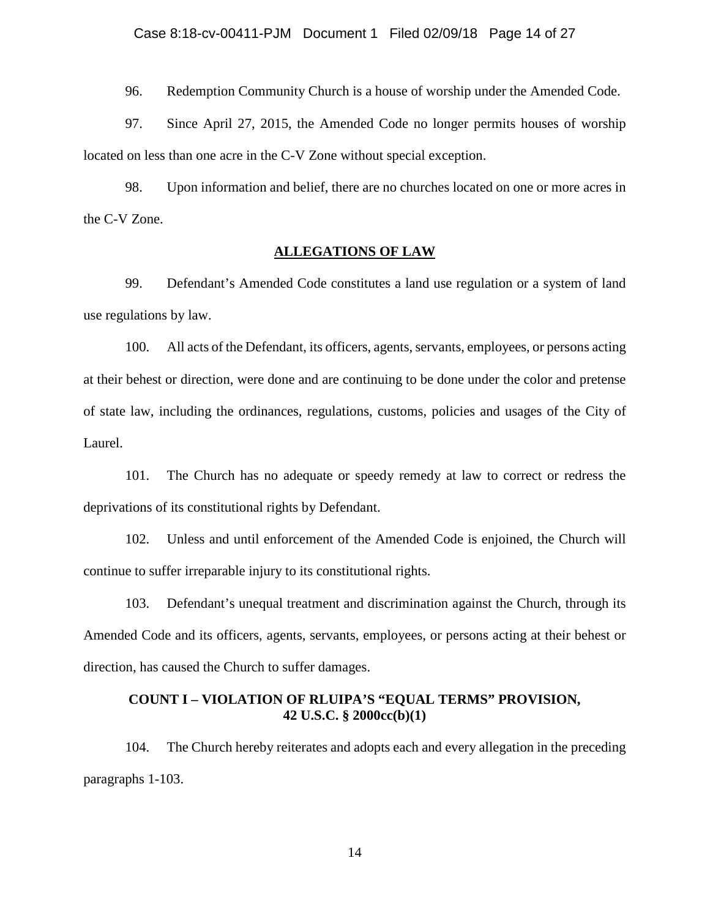96. Redemption Community Church is a house of worship under the Amended Code.

97. Since April 27, 2015, the Amended Code no longer permits houses of worship located on less than one acre in the C-V Zone without special exception.

98. Upon information and belief, there are no churches located on one or more acres in the C-V Zone.

## **ALLEGATIONS OF LAW**

99. Defendant's Amended Code constitutes a land use regulation or a system of land use regulations by law.

100. All acts of the Defendant, its officers, agents, servants, employees, or persons acting at their behest or direction, were done and are continuing to be done under the color and pretense of state law, including the ordinances, regulations, customs, policies and usages of the City of Laurel.

101. The Church has no adequate or speedy remedy at law to correct or redress the deprivations of its constitutional rights by Defendant.

102. Unless and until enforcement of the Amended Code is enjoined, the Church will continue to suffer irreparable injury to its constitutional rights.

103. Defendant's unequal treatment and discrimination against the Church, through its Amended Code and its officers, agents, servants, employees, or persons acting at their behest or direction, has caused the Church to suffer damages.

# **COUNT I – VIOLATION OF RLUIPA'S "EQUAL TERMS" PROVISION, 42 U.S.C. § 2000cc(b)(1)**

104. The Church hereby reiterates and adopts each and every allegation in the preceding paragraphs 1-103.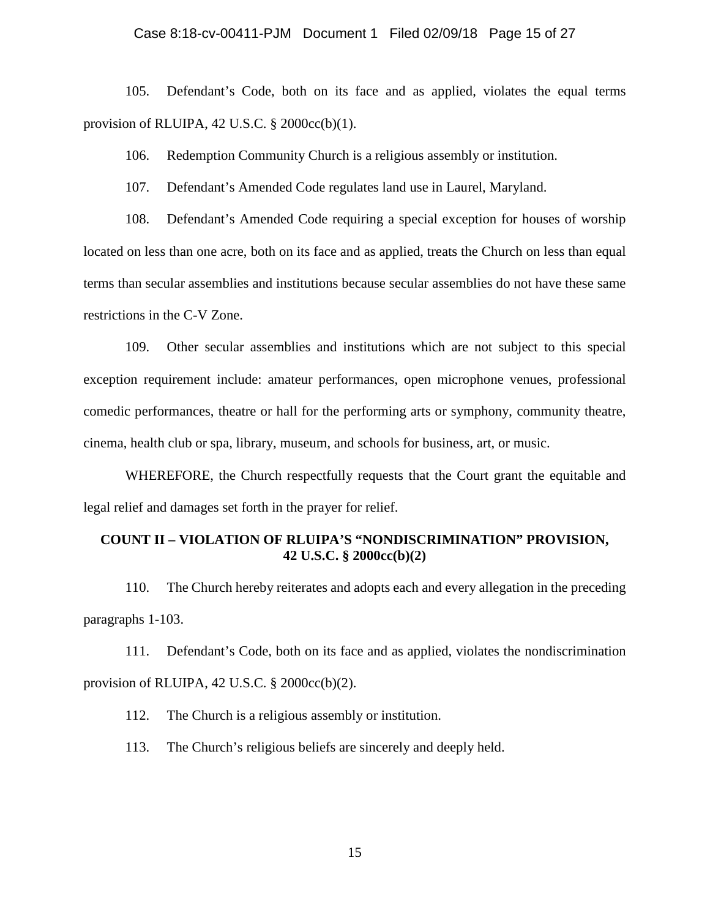#### Case 8:18-cv-00411-PJM Document 1 Filed 02/09/18 Page 15 of 27

105. Defendant's Code, both on its face and as applied, violates the equal terms provision of RLUIPA,  $42$  U.S.C.  $\S$  2000cc(b)(1).

106. Redemption Community Church is a religious assembly or institution.

107. Defendant's Amended Code regulates land use in Laurel, Maryland.

108. Defendant's Amended Code requiring a special exception for houses of worship located on less than one acre, both on its face and as applied, treats the Church on less than equal terms than secular assemblies and institutions because secular assemblies do not have these same restrictions in the C-V Zone.

109. Other secular assemblies and institutions which are not subject to this special exception requirement include: amateur performances, open microphone venues, professional comedic performances, theatre or hall for the performing arts or symphony, community theatre, cinema, health club or spa, library, museum, and schools for business, art, or music.

WHEREFORE, the Church respectfully requests that the Court grant the equitable and legal relief and damages set forth in the prayer for relief.

# **COUNT II – VIOLATION OF RLUIPA'S "NONDISCRIMINATION" PROVISION, 42 U.S.C. § 2000cc(b)(2)**

110. The Church hereby reiterates and adopts each and every allegation in the preceding paragraphs 1-103.

111. Defendant's Code, both on its face and as applied, violates the nondiscrimination provision of RLUIPA,  $42$  U.S.C.  $\S$  2000cc(b)(2).

112. The Church is a religious assembly or institution.

113. The Church's religious beliefs are sincerely and deeply held.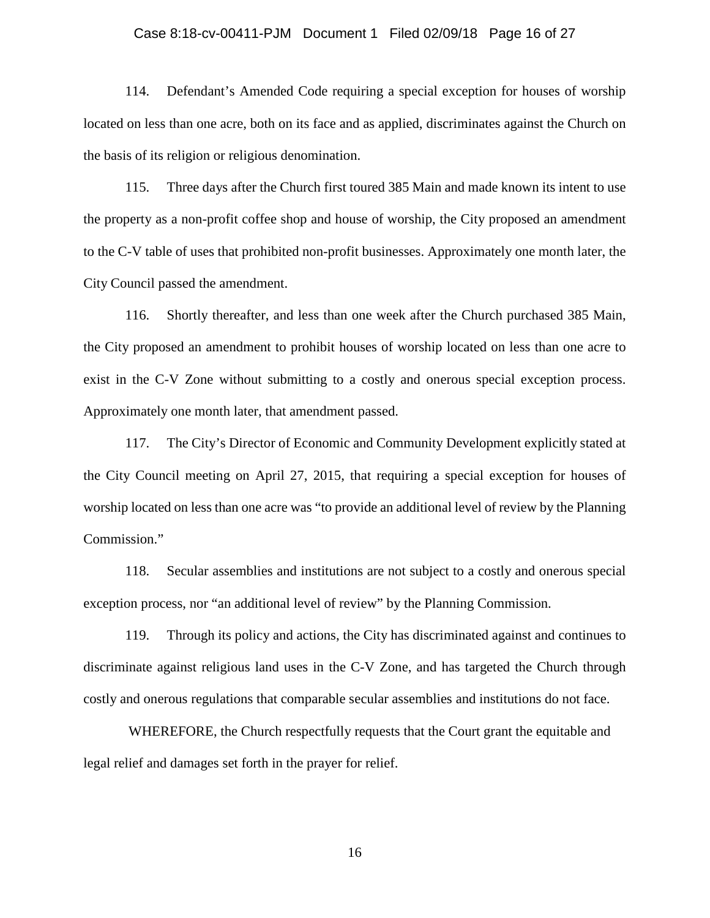### Case 8:18-cv-00411-PJM Document 1 Filed 02/09/18 Page 16 of 27

114. Defendant's Amended Code requiring a special exception for houses of worship located on less than one acre, both on its face and as applied, discriminates against the Church on the basis of its religion or religious denomination.

115. Three days after the Church first toured 385 Main and made known its intent to use the property as a non-profit coffee shop and house of worship, the City proposed an amendment to the C-V table of uses that prohibited non-profit businesses. Approximately one month later, the City Council passed the amendment.

116. Shortly thereafter, and less than one week after the Church purchased 385 Main, the City proposed an amendment to prohibit houses of worship located on less than one acre to exist in the C-V Zone without submitting to a costly and onerous special exception process. Approximately one month later, that amendment passed.

117. The City's Director of Economic and Community Development explicitly stated at the City Council meeting on April 27, 2015, that requiring a special exception for houses of worship located on less than one acre was "to provide an additional level of review by the Planning Commission."

118. Secular assemblies and institutions are not subject to a costly and onerous special exception process, nor "an additional level of review" by the Planning Commission.

119. Through its policy and actions, the City has discriminated against and continues to discriminate against religious land uses in the C-V Zone, and has targeted the Church through costly and onerous regulations that comparable secular assemblies and institutions do not face.

 WHEREFORE, the Church respectfully requests that the Court grant the equitable and legal relief and damages set forth in the prayer for relief.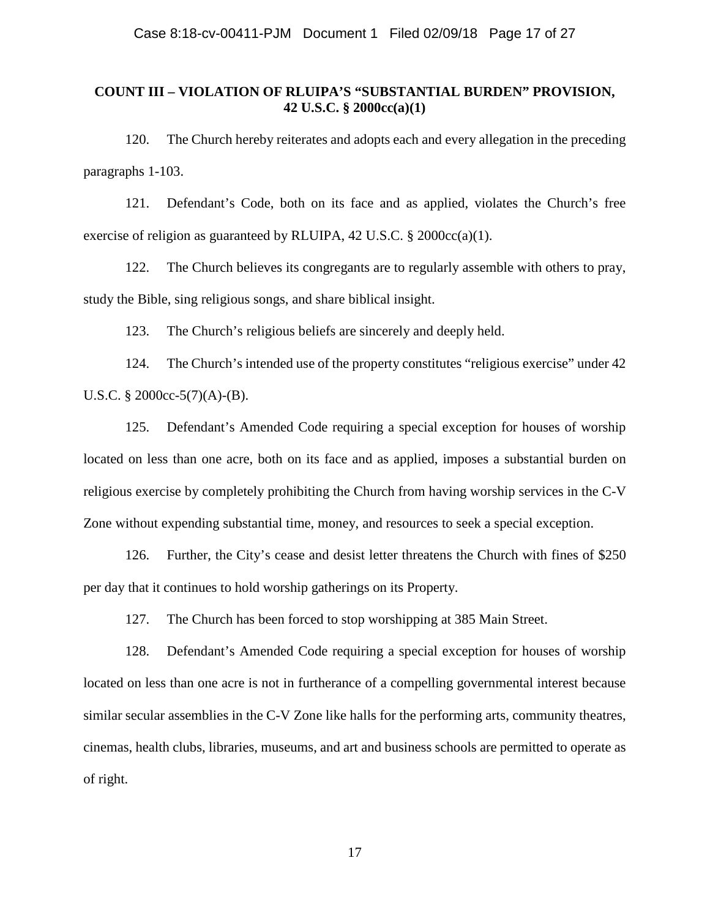# **COUNT III – VIOLATION OF RLUIPA'S "SUBSTANTIAL BURDEN" PROVISION, 42 U.S.C. § 2000cc(a)(1)**

120. The Church hereby reiterates and adopts each and every allegation in the preceding paragraphs 1-103.

121. Defendant's Code, both on its face and as applied, violates the Church's free exercise of religion as guaranteed by RLUIPA, 42 U.S.C. § 2000cc(a)(1).

122. The Church believes its congregants are to regularly assemble with others to pray, study the Bible, sing religious songs, and share biblical insight.

123. The Church's religious beliefs are sincerely and deeply held.

124. The Church's intended use of the property constitutes "religious exercise" under 42 U.S.C. § 2000cc-5(7)(A)-(B).

125. Defendant's Amended Code requiring a special exception for houses of worship located on less than one acre, both on its face and as applied, imposes a substantial burden on religious exercise by completely prohibiting the Church from having worship services in the C-V Zone without expending substantial time, money, and resources to seek a special exception.

126. Further, the City's cease and desist letter threatens the Church with fines of \$250 per day that it continues to hold worship gatherings on its Property.

127. The Church has been forced to stop worshipping at 385 Main Street.

128. Defendant's Amended Code requiring a special exception for houses of worship located on less than one acre is not in furtherance of a compelling governmental interest because similar secular assemblies in the C-V Zone like halls for the performing arts, community theatres, cinemas, health clubs, libraries, museums, and art and business schools are permitted to operate as of right.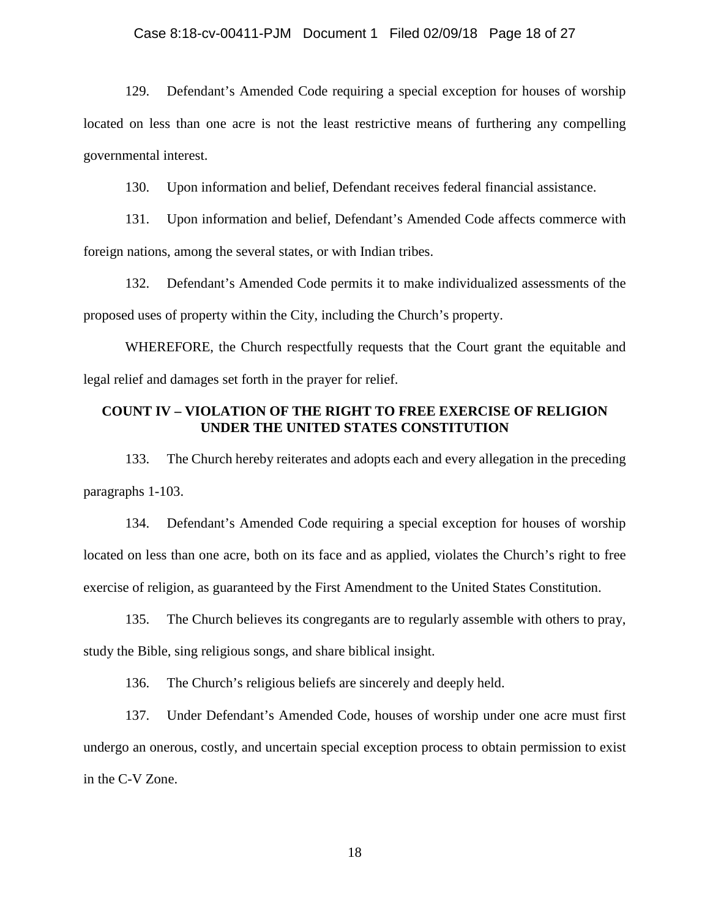## Case 8:18-cv-00411-PJM Document 1 Filed 02/09/18 Page 18 of 27

129. Defendant's Amended Code requiring a special exception for houses of worship located on less than one acre is not the least restrictive means of furthering any compelling governmental interest.

130. Upon information and belief, Defendant receives federal financial assistance.

131. Upon information and belief, Defendant's Amended Code affects commerce with foreign nations, among the several states, or with Indian tribes.

132. Defendant's Amended Code permits it to make individualized assessments of the proposed uses of property within the City, including the Church's property.

WHEREFORE, the Church respectfully requests that the Court grant the equitable and legal relief and damages set forth in the prayer for relief.

# **COUNT IV – VIOLATION OF THE RIGHT TO FREE EXERCISE OF RELIGION UNDER THE UNITED STATES CONSTITUTION**

133. The Church hereby reiterates and adopts each and every allegation in the preceding paragraphs 1-103.

134. Defendant's Amended Code requiring a special exception for houses of worship located on less than one acre, both on its face and as applied, violates the Church's right to free exercise of religion, as guaranteed by the First Amendment to the United States Constitution.

135. The Church believes its congregants are to regularly assemble with others to pray, study the Bible, sing religious songs, and share biblical insight.

136. The Church's religious beliefs are sincerely and deeply held.

137. Under Defendant's Amended Code, houses of worship under one acre must first undergo an onerous, costly, and uncertain special exception process to obtain permission to exist in the C-V Zone.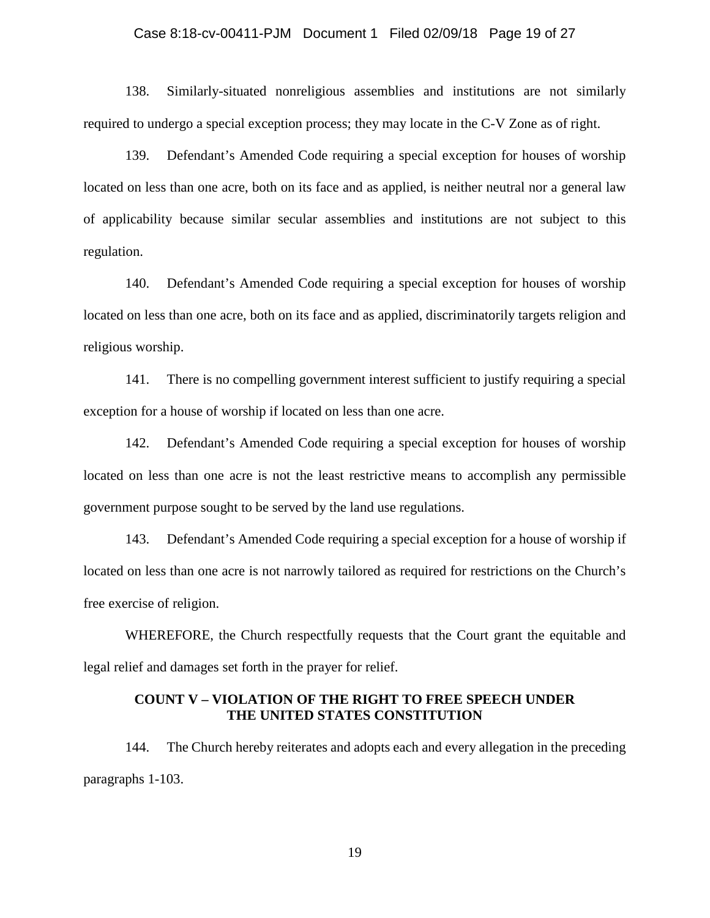## Case 8:18-cv-00411-PJM Document 1 Filed 02/09/18 Page 19 of 27

138. Similarly-situated nonreligious assemblies and institutions are not similarly required to undergo a special exception process; they may locate in the C-V Zone as of right.

139. Defendant's Amended Code requiring a special exception for houses of worship located on less than one acre, both on its face and as applied, is neither neutral nor a general law of applicability because similar secular assemblies and institutions are not subject to this regulation.

140. Defendant's Amended Code requiring a special exception for houses of worship located on less than one acre, both on its face and as applied, discriminatorily targets religion and religious worship.

141. There is no compelling government interest sufficient to justify requiring a special exception for a house of worship if located on less than one acre.

142. Defendant's Amended Code requiring a special exception for houses of worship located on less than one acre is not the least restrictive means to accomplish any permissible government purpose sought to be served by the land use regulations.

143. Defendant's Amended Code requiring a special exception for a house of worship if located on less than one acre is not narrowly tailored as required for restrictions on the Church's free exercise of religion.

WHEREFORE, the Church respectfully requests that the Court grant the equitable and legal relief and damages set forth in the prayer for relief.

## **COUNT V – VIOLATION OF THE RIGHT TO FREE SPEECH UNDER THE UNITED STATES CONSTITUTION**

144. The Church hereby reiterates and adopts each and every allegation in the preceding paragraphs 1-103.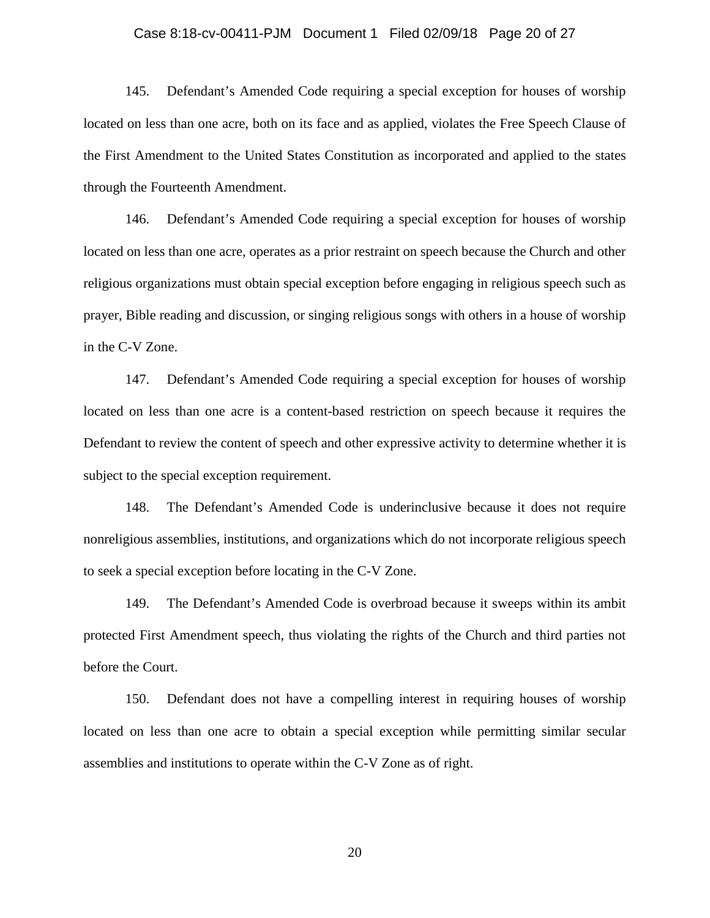#### Case 8:18-cv-00411-PJM Document 1 Filed 02/09/18 Page 20 of 27

145. Defendant's Amended Code requiring a special exception for houses of worship located on less than one acre, both on its face and as applied, violates the Free Speech Clause of the First Amendment to the United States Constitution as incorporated and applied to the states through the Fourteenth Amendment.

146. Defendant's Amended Code requiring a special exception for houses of worship located on less than one acre, operates as a prior restraint on speech because the Church and other religious organizations must obtain special exception before engaging in religious speech such as prayer, Bible reading and discussion, or singing religious songs with others in a house of worship in the C-V Zone.

147. Defendant's Amended Code requiring a special exception for houses of worship located on less than one acre is a content-based restriction on speech because it requires the Defendant to review the content of speech and other expressive activity to determine whether it is subject to the special exception requirement.

148. The Defendant's Amended Code is underinclusive because it does not require nonreligious assemblies, institutions, and organizations which do not incorporate religious speech to seek a special exception before locating in the C-V Zone.

149. The Defendant's Amended Code is overbroad because it sweeps within its ambit protected First Amendment speech, thus violating the rights of the Church and third parties not before the Court.

150. Defendant does not have a compelling interest in requiring houses of worship located on less than one acre to obtain a special exception while permitting similar secular assemblies and institutions to operate within the C-V Zone as of right.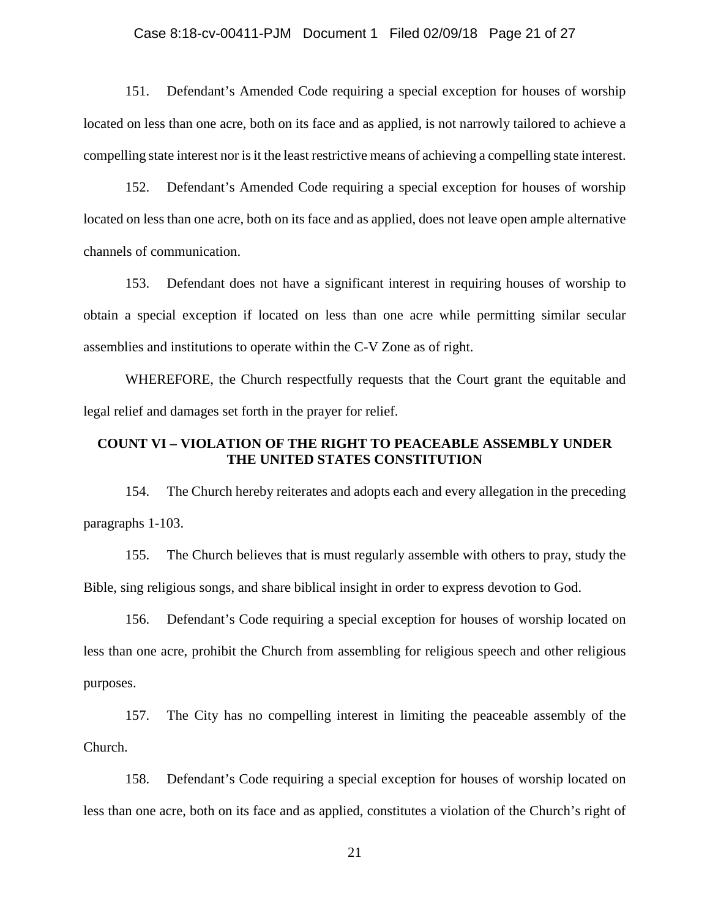## Case 8:18-cv-00411-PJM Document 1 Filed 02/09/18 Page 21 of 27

151. Defendant's Amended Code requiring a special exception for houses of worship located on less than one acre, both on its face and as applied, is not narrowly tailored to achieve a compelling state interest nor is it the least restrictive means of achieving a compelling state interest.

152. Defendant's Amended Code requiring a special exception for houses of worship located on less than one acre, both on its face and as applied, does not leave open ample alternative channels of communication.

153. Defendant does not have a significant interest in requiring houses of worship to obtain a special exception if located on less than one acre while permitting similar secular assemblies and institutions to operate within the C-V Zone as of right.

WHEREFORE, the Church respectfully requests that the Court grant the equitable and legal relief and damages set forth in the prayer for relief.

## **COUNT VI – VIOLATION OF THE RIGHT TO PEACEABLE ASSEMBLY UNDER THE UNITED STATES CONSTITUTION**

154. The Church hereby reiterates and adopts each and every allegation in the preceding paragraphs 1-103.

155. The Church believes that is must regularly assemble with others to pray, study the Bible, sing religious songs, and share biblical insight in order to express devotion to God.

156. Defendant's Code requiring a special exception for houses of worship located on less than one acre, prohibit the Church from assembling for religious speech and other religious purposes.

157. The City has no compelling interest in limiting the peaceable assembly of the Church.

158. Defendant's Code requiring a special exception for houses of worship located on less than one acre, both on its face and as applied, constitutes a violation of the Church's right of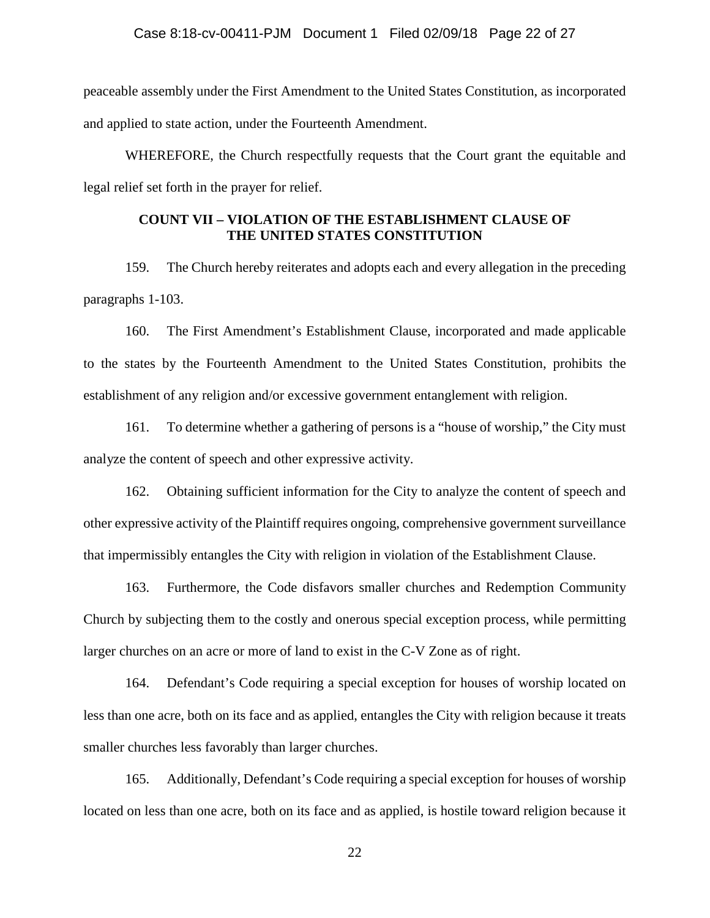peaceable assembly under the First Amendment to the United States Constitution, as incorporated and applied to state action, under the Fourteenth Amendment.

WHEREFORE, the Church respectfully requests that the Court grant the equitable and legal relief set forth in the prayer for relief.

# **COUNT VII – VIOLATION OF THE ESTABLISHMENT CLAUSE OF THE UNITED STATES CONSTITUTION**

159. The Church hereby reiterates and adopts each and every allegation in the preceding paragraphs 1-103.

160. The First Amendment's Establishment Clause, incorporated and made applicable to the states by the Fourteenth Amendment to the United States Constitution, prohibits the establishment of any religion and/or excessive government entanglement with religion.

161. To determine whether a gathering of persons is a "house of worship," the City must analyze the content of speech and other expressive activity.

162. Obtaining sufficient information for the City to analyze the content of speech and other expressive activity of the Plaintiff requires ongoing, comprehensive government surveillance that impermissibly entangles the City with religion in violation of the Establishment Clause.

163. Furthermore, the Code disfavors smaller churches and Redemption Community Church by subjecting them to the costly and onerous special exception process, while permitting larger churches on an acre or more of land to exist in the C-V Zone as of right.

164. Defendant's Code requiring a special exception for houses of worship located on less than one acre, both on its face and as applied, entangles the City with religion because it treats smaller churches less favorably than larger churches.

165. Additionally, Defendant's Code requiring a special exception for houses of worship located on less than one acre, both on its face and as applied, is hostile toward religion because it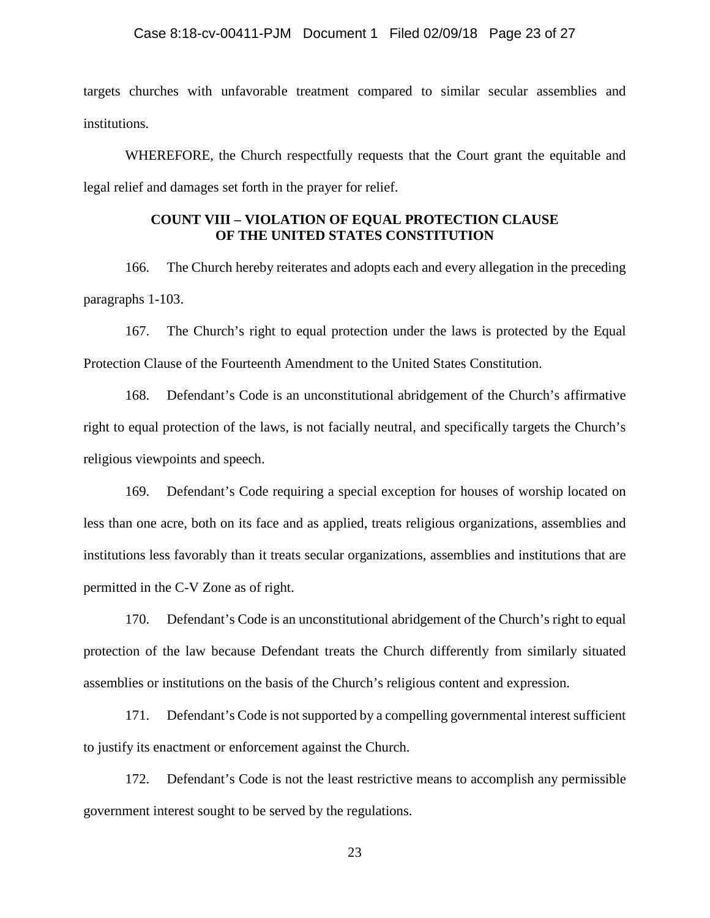targets churches with unfavorable treatment compared to similar secular assemblies and institutions.

WHEREFORE, the Church respectfully requests that the Court grant the equitable and legal relief and damages set forth in the prayer for relief.

# **COUNT VIII – VIOLATION OF EQUAL PROTECTION CLAUSE OF THE UNITED STATES CONSTITUTION**

166. The Church hereby reiterates and adopts each and every allegation in the preceding paragraphs 1-103.

167. The Church's right to equal protection under the laws is protected by the Equal Protection Clause of the Fourteenth Amendment to the United States Constitution.

168. Defendant's Code is an unconstitutional abridgement of the Church's affirmative right to equal protection of the laws, is not facially neutral, and specifically targets the Church's religious viewpoints and speech.

169. Defendant's Code requiring a special exception for houses of worship located on less than one acre, both on its face and as applied, treats religious organizations, assemblies and institutions less favorably than it treats secular organizations, assemblies and institutions that are permitted in the C-V Zone as of right.

170. Defendant's Code is an unconstitutional abridgement of the Church's right to equal protection of the law because Defendant treats the Church differently from similarly situated assemblies or institutions on the basis of the Church's religious content and expression.

171. Defendant's Code is not supported by a compelling governmental interest sufficient to justify its enactment or enforcement against the Church.

172. Defendant's Code is not the least restrictive means to accomplish any permissible government interest sought to be served by the regulations.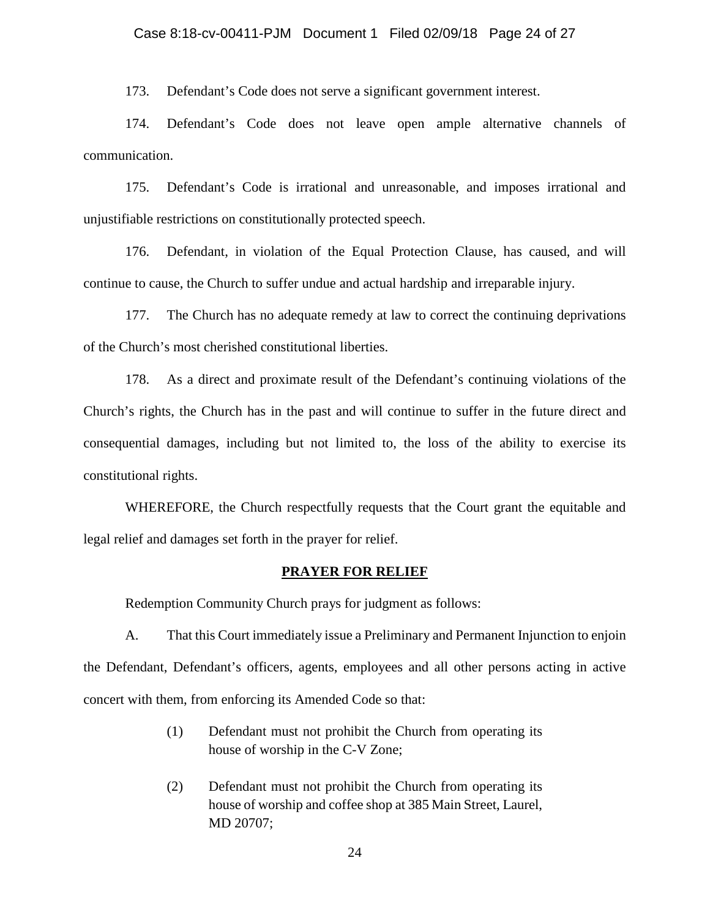173. Defendant's Code does not serve a significant government interest.

174. Defendant's Code does not leave open ample alternative channels of communication.

175. Defendant's Code is irrational and unreasonable, and imposes irrational and unjustifiable restrictions on constitutionally protected speech.

176. Defendant, in violation of the Equal Protection Clause, has caused, and will continue to cause, the Church to suffer undue and actual hardship and irreparable injury.

177. The Church has no adequate remedy at law to correct the continuing deprivations of the Church's most cherished constitutional liberties.

178. As a direct and proximate result of the Defendant's continuing violations of the Church's rights, the Church has in the past and will continue to suffer in the future direct and consequential damages, including but not limited to, the loss of the ability to exercise its constitutional rights.

WHEREFORE, the Church respectfully requests that the Court grant the equitable and legal relief and damages set forth in the prayer for relief.

## **PRAYER FOR RELIEF**

Redemption Community Church prays for judgment as follows:

A. That this Court immediately issue a Preliminary and Permanent Injunction to enjoin the Defendant, Defendant's officers, agents, employees and all other persons acting in active concert with them, from enforcing its Amended Code so that:

- (1) Defendant must not prohibit the Church from operating its house of worship in the C-V Zone;
- (2) Defendant must not prohibit the Church from operating its house of worship and coffee shop at 385 Main Street, Laurel, MD 20707;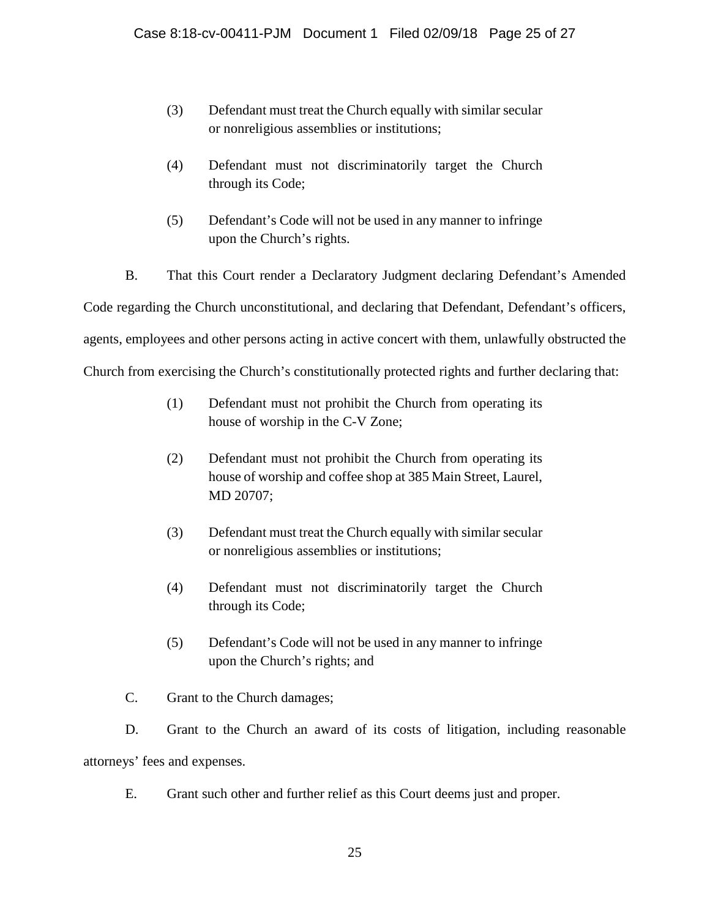- (3) Defendant must treat the Church equally with similar secular or nonreligious assemblies or institutions;
- (4) Defendant must not discriminatorily target the Church through its Code;
- (5) Defendant's Code will not be used in any manner to infringe upon the Church's rights.

B. That this Court render a Declaratory Judgment declaring Defendant's Amended Code regarding the Church unconstitutional, and declaring that Defendant, Defendant's officers, agents, employees and other persons acting in active concert with them, unlawfully obstructed the Church from exercising the Church's constitutionally protected rights and further declaring that:

- (1) Defendant must not prohibit the Church from operating its house of worship in the C-V Zone;
- (2) Defendant must not prohibit the Church from operating its house of worship and coffee shop at 385 Main Street, Laurel, MD 20707;
- (3) Defendant must treat the Church equally with similar secular or nonreligious assemblies or institutions;
- (4) Defendant must not discriminatorily target the Church through its Code;
- (5) Defendant's Code will not be used in any manner to infringe upon the Church's rights; and
- C. Grant to the Church damages;

D. Grant to the Church an award of its costs of litigation, including reasonable attorneys' fees and expenses.

E. Grant such other and further relief as this Court deems just and proper.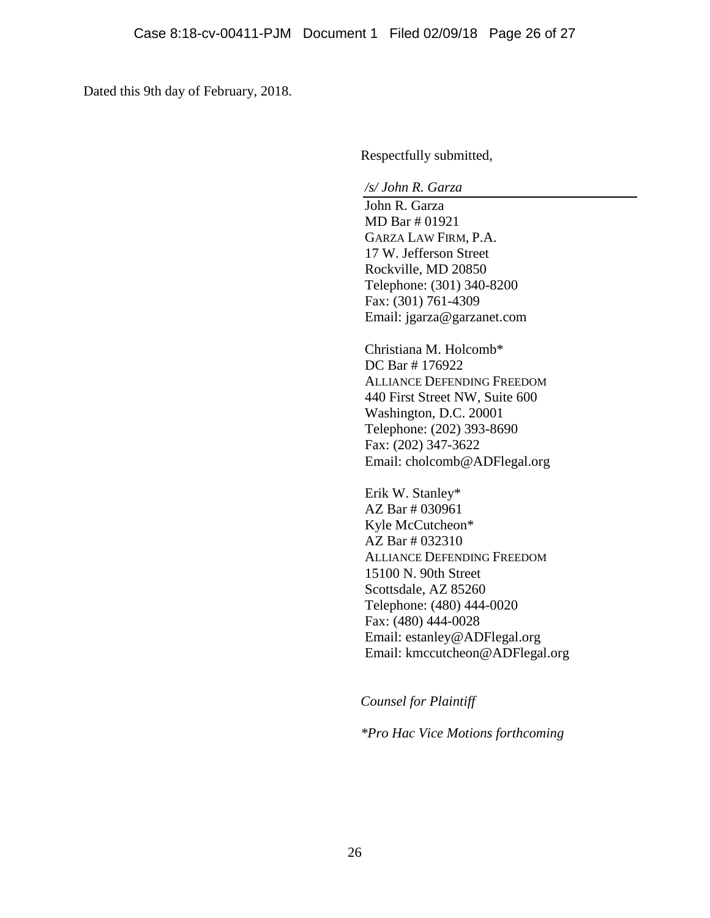Dated this 9th day of February, 2018.

Respectfully submitted,

*/s/ John R. Garza* 

John R. Garza MD Bar # 01921 GARZA LAW FIRM, P.A. 17 W. Jefferson Street Rockville, MD 20850 Telephone: (301) 340-8200 Fax: (301) 761-4309 Email: jgarza@garzanet.com

Christiana M. Holcomb\* DC Bar # 176922 ALLIANCE DEFENDING FREEDOM 440 First Street NW, Suite 600 Washington, D.C. 20001 Telephone: (202) 393-8690 Fax: (202) 347-3622 Email: cholcomb@ADFlegal.org

Erik W. Stanley\* AZ Bar # 030961 Kyle McCutcheon\* AZ Bar # 032310 ALLIANCE DEFENDING FREEDOM 15100 N. 90th Street Scottsdale, AZ 85260 Telephone: (480) 444-0020 Fax: (480) 444-0028 Email: estanley@ADFlegal.org Email: kmccutcheon@ADFlegal.org

*Counsel for Plaintiff*

*\*Pro Hac Vice Motions forthcoming*